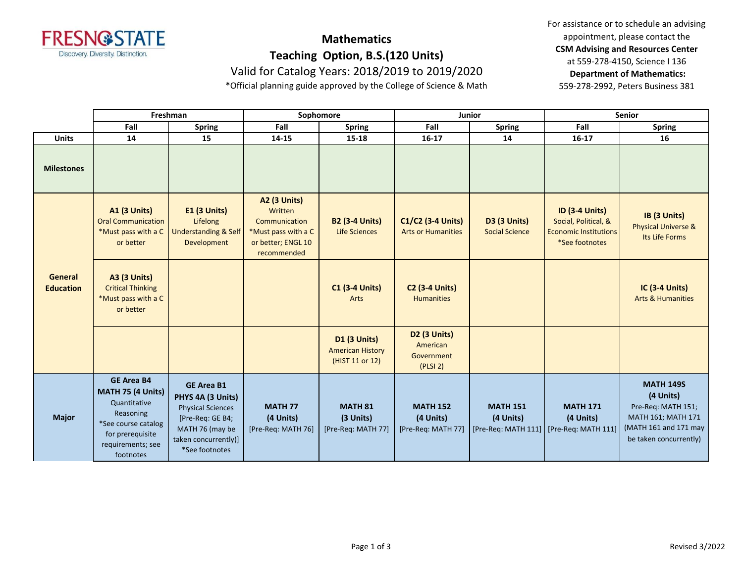

## **Mathematics**

**Teaching Option, B.S.(120 Units)**

Valid for Catalog Years: 2018/2019 to 2019/2020

\*Official planning guide approved by the College of Science & Math

For assistance or to schedule an advising appointment, please contact the **CSM Advising and Resources Center** at 559-278-4150, Science I 136 **Department of Mathematics:** 559-278-2992, Peters Business 381

|                                    | Freshman                                                                                                                                                |                                                                                                                                                     | Sophomore                                                                                                   |                                                                   | <b>Junior</b>                                                  |                                       | <b>Senior</b>                                                                                   |                                                                                                                              |
|------------------------------------|---------------------------------------------------------------------------------------------------------------------------------------------------------|-----------------------------------------------------------------------------------------------------------------------------------------------------|-------------------------------------------------------------------------------------------------------------|-------------------------------------------------------------------|----------------------------------------------------------------|---------------------------------------|-------------------------------------------------------------------------------------------------|------------------------------------------------------------------------------------------------------------------------------|
|                                    | Fall                                                                                                                                                    | <b>Spring</b>                                                                                                                                       | Fall                                                                                                        | <b>Spring</b>                                                     | Fall                                                           | <b>Spring</b>                         | Fall                                                                                            | <b>Spring</b>                                                                                                                |
| <b>Units</b>                       | 14                                                                                                                                                      | 15                                                                                                                                                  | 14-15                                                                                                       | 15-18                                                             | $16 - 17$                                                      | 14                                    | $16 - 17$                                                                                       | 16                                                                                                                           |
| <b>Milestones</b>                  |                                                                                                                                                         |                                                                                                                                                     |                                                                                                             |                                                                   |                                                                |                                       |                                                                                                 |                                                                                                                              |
| <b>General</b><br><b>Education</b> | <b>A1 (3 Units)</b><br><b>Oral Communication</b><br>*Must pass with a C<br>or better                                                                    | <b>E1 (3 Units)</b><br>Lifelong<br><b>Understanding &amp; Self</b><br>Development                                                                   | <b>A2 (3 Units)</b><br>Written<br>Communication<br>*Must pass with a C<br>or better; ENGL 10<br>recommended | <b>B2 (3-4 Units)</b><br>Life Sciences                            | C1/C2 (3-4 Units)<br><b>Arts or Humanities</b>                 | D3 (3 Units)<br><b>Social Science</b> | <b>ID (3-4 Units)</b><br>Social, Political, &<br><b>Economic Institutions</b><br>*See footnotes | IB (3 Units)<br><b>Physical Universe &amp;</b><br>Its Life Forms                                                             |
|                                    | <b>A3 (3 Units)</b><br><b>Critical Thinking</b><br>*Must pass with a C<br>or better                                                                     |                                                                                                                                                     |                                                                                                             | <b>C1 (3-4 Units)</b><br>Arts                                     | <b>C2 (3-4 Units)</b><br><b>Humanities</b>                     |                                       |                                                                                                 | <b>IC (3-4 Units)</b><br><b>Arts &amp; Humanities</b>                                                                        |
|                                    |                                                                                                                                                         |                                                                                                                                                     |                                                                                                             | <b>D1 (3 Units)</b><br><b>American History</b><br>(HIST 11 or 12) | D <sub>2</sub> (3 Units)<br>American<br>Government<br>(PLSI 2) |                                       |                                                                                                 |                                                                                                                              |
| <b>Major</b>                       | <b>GE Area B4</b><br><b>MATH 75 (4 Units)</b><br>Quantitative<br>Reasoning<br>*See course catalog<br>for prerequisite<br>requirements; see<br>footnotes | <b>GE Area B1</b><br>PHYS 4A (3 Units)<br><b>Physical Sciences</b><br>[Pre-Req: GE B4;<br>MATH 76 (may be<br>taken concurrently)]<br>*See footnotes | <b>MATH 77</b><br>(4 Units)<br>[Pre-Req: MATH 76]                                                           | <b>MATH 81</b><br>(3 Units)<br>[Pre-Req: MATH 77]                 | <b>MATH 152</b><br>(4 Units)<br>[Pre-Req: MATH 77]             | <b>MATH 151</b><br>(4 Units)          | <b>MATH 171</b><br>(4 Units)<br>[Pre-Req: MATH 111]   [Pre-Req: MATH 111]                       | <b>MATH 149S</b><br>(4 Units)<br>Pre-Req: MATH 151;<br>MATH 161; MATH 171<br>(MATH 161 and 171 may<br>be taken concurrently) |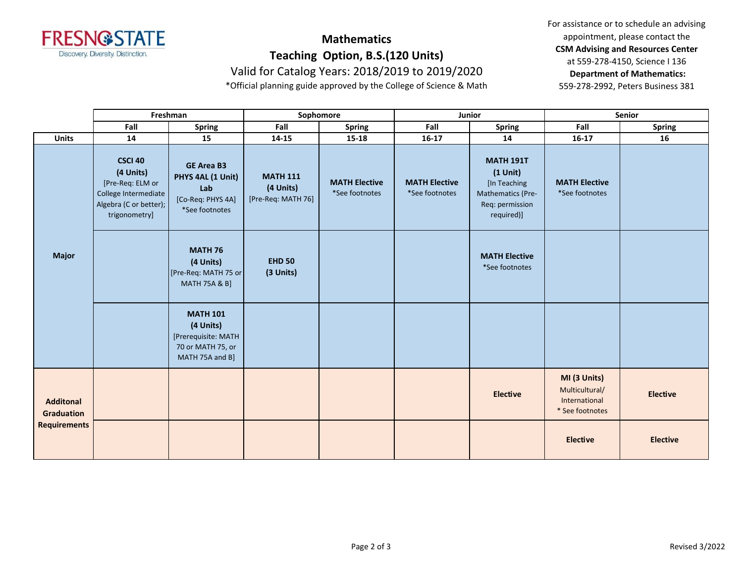

## **Mathematics**

**Teaching Option, B.S.(120 Units)**

Valid for Catalog Years: 2018/2019 to 2019/2020

\*Official planning guide approved by the College of Science & Math

For assistance or to schedule an advising appointment, please contact the **CSM Advising and Resources Center** at 559-278-4150, Science I 136 **Department of Mathematics:** 559-278-2992, Peters Business 381

|                                                              | Freshman                                                                                                    |                                                                                             | Sophomore                                          |                                        | Junior                                 |                                                                                                      | Senior                                                             |                 |
|--------------------------------------------------------------|-------------------------------------------------------------------------------------------------------------|---------------------------------------------------------------------------------------------|----------------------------------------------------|----------------------------------------|----------------------------------------|------------------------------------------------------------------------------------------------------|--------------------------------------------------------------------|-----------------|
|                                                              | Fall                                                                                                        | <b>Spring</b>                                                                               | Fall                                               | <b>Spring</b>                          | Fall                                   | <b>Spring</b>                                                                                        | Fall                                                               | <b>Spring</b>   |
| <b>Units</b>                                                 | 14                                                                                                          | 15                                                                                          | 14-15                                              | 15-18                                  | $16 - 17$                              | 14                                                                                                   | $16-17$                                                            | 16              |
| <b>Major</b>                                                 | CSCI 40<br>(4 Units)<br>[Pre-Req: ELM or<br>College Intermediate<br>Algebra (C or better);<br>trigonometry] | <b>GE Area B3</b><br>PHYS 4AL (1 Unit)<br>Lab<br>[Co-Req: PHYS 4A]<br>*See footnotes        | <b>MATH 111</b><br>(4 Units)<br>[Pre-Req: MATH 76] | <b>MATH Elective</b><br>*See footnotes | <b>MATH Elective</b><br>*See footnotes | <b>MATH 191T</b><br>$(1$ Unit)<br>[In Teaching<br>Mathematics (Pre-<br>Req: permission<br>required)] | <b>MATH Elective</b><br>*See footnotes                             |                 |
|                                                              |                                                                                                             | <b>MATH 76</b><br>(4 Units)<br>[Pre-Req: MATH 75 or<br><b>MATH 75A &amp; B]</b>             | <b>EHD 50</b><br>(3 Units)                         |                                        |                                        | <b>MATH Elective</b><br>*See footnotes                                                               |                                                                    |                 |
|                                                              |                                                                                                             | <b>MATH 101</b><br>(4 Units)<br>[Prerequisite: MATH<br>70 or MATH 75, or<br>MATH 75A and B] |                                                    |                                        |                                        |                                                                                                      |                                                                    |                 |
| <b>Additonal</b><br><b>Graduation</b><br><b>Requirements</b> |                                                                                                             |                                                                                             |                                                    |                                        |                                        | <b>Elective</b>                                                                                      | MI (3 Units)<br>Multicultural/<br>International<br>* See footnotes | <b>Elective</b> |
|                                                              |                                                                                                             |                                                                                             |                                                    |                                        |                                        |                                                                                                      | <b>Elective</b>                                                    | <b>Elective</b> |